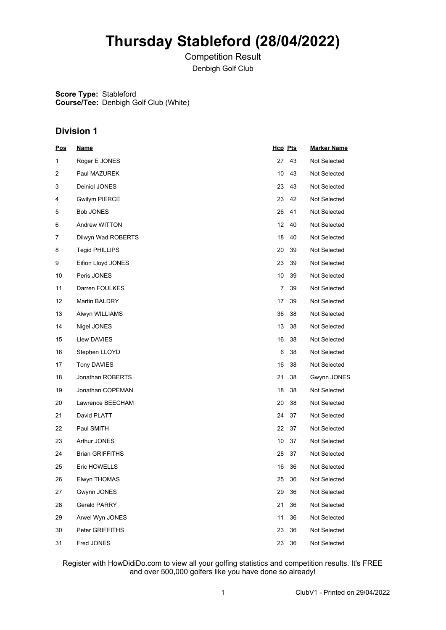# **Thursday Stableford (28/04/2022)**

Competition Result Denbigh Golf Club

**Score Type:** Stableford **Course/Tee:** Denbigh Golf Club (White)

## **Division 1**

| <u>Pos</u> | <u>Name</u>            | Hcp Pts |    | <b>Marker Name</b> |
|------------|------------------------|---------|----|--------------------|
| 1          | Roger E JONES          | 27      | 43 | Not Selected       |
| 2          | Paul MAZUREK           | 10      | 43 | Not Selected       |
| 3          | Deiniol JONES          | 23      | 43 | Not Selected       |
| 4          | <b>Gwilym PIERCE</b>   | 23      | 42 | Not Selected       |
| 5          | <b>Bob JONES</b>       | 26      | 41 | Not Selected       |
| 6          | Andrew WITTON          | 12      | 40 | Not Selected       |
| 7          | Dilwyn Wad ROBERTS     | 18      | 40 | Not Selected       |
| 8          | <b>Tegid PHILLIPS</b>  | 20      | 39 | Not Selected       |
| 9          | Eifion Lloyd JONES     | 23      | 39 | Not Selected       |
| 10         | Peris JONES            | 10      | 39 | Not Selected       |
| 11         | Darren FOULKES         | 7       | 39 | Not Selected       |
| 12         | Martin BALDRY          | 17      | 39 | Not Selected       |
| 13         | Alwyn WILLIAMS         | 36      | 38 | Not Selected       |
| 14         | Nigel JONES            | 13      | 38 | Not Selected       |
| 15         | Llew DAVIES            | 16      | 38 | Not Selected       |
| 16         | Stephen LLOYD          | 6       | 38 | Not Selected       |
| 17         | Tony DAVIES            | 16      | 38 | Not Selected       |
| 18         | Jonathan ROBERTS       | 21      | 38 | Gwynn JONES        |
| 19         | Jonathan COPEMAN       | 18      | 38 | Not Selected       |
| 20         | Lawrence BEECHAM       | 20      | 38 | Not Selected       |
| 21         | David PLATT            | 24      | 37 | Not Selected       |
| 22         | Paul SMITH             | 22      | 37 | Not Selected       |
| 23         | Arthur JONES           | 10      | 37 | Not Selected       |
| 24         | <b>Brian GRIFFITHS</b> | 28      | 37 | Not Selected       |
| 25         | Eric HOWELLS           | 16      | 36 | Not Selected       |
| 26         | Elwyn THOMAS           | 25      | 36 | Not Selected       |
| 27         | Gwynn JONES            | 29      | 36 | Not Selected       |
| 28         | <b>Gerald PARRY</b>    | 21      | 36 | Not Selected       |
| 29         | Arwel Wyn JONES        | 11      | 36 | Not Selected       |
| 30         | Peter GRIFFITHS        | 23      | 36 | Not Selected       |
| 31         | Fred JONES             | 23      | 36 | Not Selected       |

Register with HowDidiDo.com to view all your golfing statistics and competition results. It's FREE and over 500,000 golfers like you have done so already!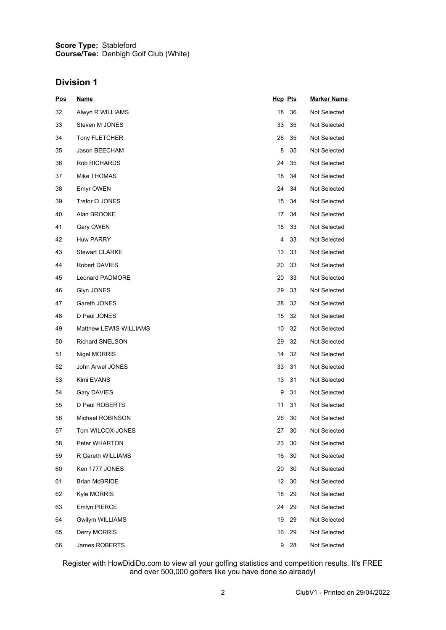#### **Score Type: Course/Tee:** Stableford Denbigh Golf Club (White)

## **Division 1**

| <u>Pos</u> | <u>Name</u>            | <u>Hcp</u> Pts |    | <b>Marker Name</b> |
|------------|------------------------|----------------|----|--------------------|
| 32         | Alwyn R WILLIAMS       | 18             | 36 | Not Selected       |
| 33         | Steven M JONES         | 33             | 35 | Not Selected       |
| 34         | Tony FLETCHER          | 26             | 35 | Not Selected       |
| 35         | Jason BEECHAM          | 8              | 35 | Not Selected       |
| 36         | Rob RICHARDS           | 24             | 35 | Not Selected       |
| 37         | Mike THOMAS            | 18             | 34 | Not Selected       |
| 38         | Emyr OWEN              | 24             | 34 | Not Selected       |
| 39         | Trefor O JONES         | 15             | 34 | Not Selected       |
| 40         | Alan BROOKE            | 17             | 34 | Not Selected       |
| 41         | Gary OWEN              | 18             | 33 | Not Selected       |
| 42         | <b>Huw PARRY</b>       | 4              | 33 | Not Selected       |
| 43         | <b>Stewart CLARKE</b>  | 13             | 33 | Not Selected       |
| 44         | Robert DAVIES          | 20             | 33 | Not Selected       |
| 45         | <b>Leonard PADMORE</b> | 20             | 33 | Not Selected       |
| 46         | Glyn JONES             | 29             | 33 | Not Selected       |
| 47         | Gareth JONES           | 28             | 32 | Not Selected       |
| 48         | D Paul JONES           | 15             | 32 | Not Selected       |
| 49         | Matthew LEWIS-WILLIAMS | 10             | 32 | Not Selected       |
| 50         | <b>Richard SNELSON</b> | 29             | 32 | Not Selected       |
| 51         | Nigel MORRIS           | 14             | 32 | Not Selected       |
| 52         | John Arwel JONES       | 33             | 31 | Not Selected       |
| 53         | Kimi EVANS             | 13             | 31 | Not Selected       |
| 54         | Gary DAVIES            | 9              | 31 | Not Selected       |
| 55         | D Paul ROBERTS         | 11             | 31 | Not Selected       |
| 56         | Michael ROBINSON       | 26             | 30 | Not Selected       |
| 57         | Tom WILCOX-JONES       | 27             | 30 | Not Selected       |
| 58         | Peter WHARTON          | 23             | 30 | Not Selected       |
| 59         | R Gareth WILLIAMS      | 16             | 30 | Not Selected       |
| 60         | Ken 1777 JONES         | 20             | 30 | Not Selected       |
| 61         | <b>Brian McBRIDE</b>   | 12             | 30 | Not Selected       |
| 62         | Kyle MORRIS            | 18             | 29 | Not Selected       |
| 63         | Emlyn PIERCE           | 24             | 29 | Not Selected       |
| 64         | Gwilym WILLIAMS        | 19             | 29 | Not Selected       |
| 65         | Derry MORRIS           | 16             | 29 | Not Selected       |
| 66         | James ROBERTS          | 9              | 28 | Not Selected       |

Register with HowDidiDo.com to view all your golfing statistics and competition results. It's FREE and over 500,000 golfers like you have done so already!